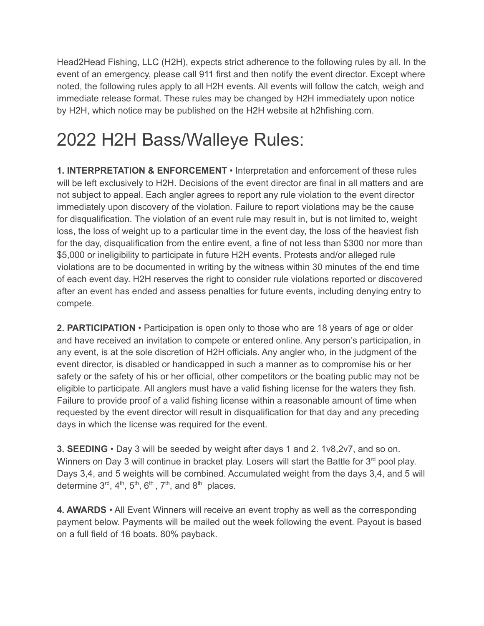Head2Head Fishing, LLC (H2H), expects strict adherence to the following rules by all. In the event of an emergency, please call 911 first and then notify the event director. Except where noted, the following rules apply to all H2H events. All events will follow the catch, weigh and immediate release format. These rules may be changed by H2H immediately upon notice by H2H, which notice may be published on the H2H website at h2hfishing.com.

## 2022 H2H Bass/Walleye Rules:

**1. INTERPRETATION & ENFORCEMENT** • Interpretation and enforcement of these rules will be left exclusively to H2H. Decisions of the event director are final in all matters and are not subject to appeal. Each angler agrees to report any rule violation to the event director immediately upon discovery of the violation. Failure to report violations may be the cause for disqualification. The violation of an event rule may result in, but is not limited to, weight loss, the loss of weight up to a particular time in the event day, the loss of the heaviest fish for the day, disqualification from the entire event, a fine of not less than \$300 nor more than \$5,000 or ineligibility to participate in future H2H events. Protests and/or alleged rule violations are to be documented in writing by the witness within 30 minutes of the end time of each event day. H2H reserves the right to consider rule violations reported or discovered after an event has ended and assess penalties for future events, including denying entry to compete.

**2. PARTICIPATION** • Participation is open only to those who are 18 years of age or older and have received an invitation to compete or entered online. Any person's participation, in any event, is at the sole discretion of H2H officials. Any angler who, in the judgment of the event director, is disabled or handicapped in such a manner as to compromise his or her safety or the safety of his or her official, other competitors or the boating public may not be eligible to participate. All anglers must have a valid fishing license for the waters they fish. Failure to provide proof of a valid fishing license within a reasonable amount of time when requested by the event director will result in disqualification for that day and any preceding days in which the license was required for the event.

**3. SEEDING** • Day 3 will be seeded by weight after days 1 and 2. 1v8,2v7, and so on. Winners on Day 3 will continue in bracket play. Losers will start the Battle for 3<sup>rd</sup> pool play. Days 3,4, and 5 weights will be combined. Accumulated weight from the days 3,4, and 5 will determine  $3^{\text{rd}}$ ,  $4^{\text{th}}$ ,  $5^{\text{th}}$ ,  $6^{\text{th}}$ ,  $7^{\text{th}}$ , and  $8^{\text{th}}$  places.

**4. AWARDS** • All Event Winners will receive an event trophy as well as the corresponding payment below. Payments will be mailed out the week following the event. Payout is based on a full field of 16 boats. 80% payback.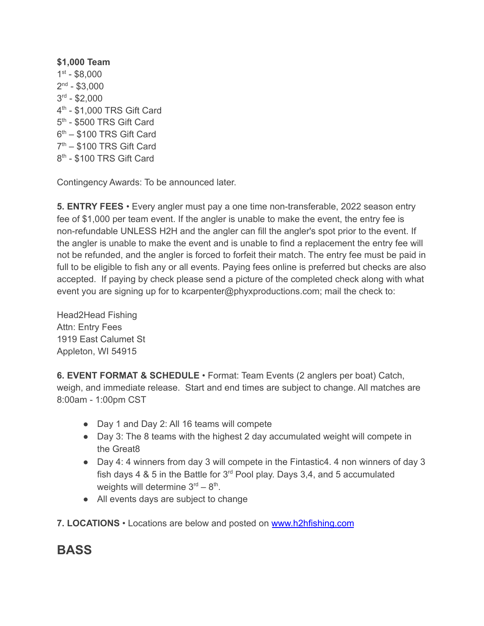**\$1,000 Team** 1 st - \$8,000  $2<sup>nd</sup> - $3,000$ 3 rd - \$2,000 4 th - \$1,000 TRS Gift Card 5<sup>th</sup> - \$500 TRS Gift Card  $6<sup>th</sup>$  – \$100 TRS Gift Card 7<sup>th</sup> – \$100 TRS Gift Card 8<sup>th</sup> - \$100 TRS Gift Card

Contingency Awards: To be announced later.

**5. ENTRY FEES** • Every angler must pay a one time non-transferable, 2022 season entry fee of \$1,000 per team event. If the angler is unable to make the event, the entry fee is non-refundable UNLESS H2H and the angler can fill the angler's spot prior to the event. If the angler is unable to make the event and is unable to find a replacement the entry fee will not be refunded, and the angler is forced to forfeit their match. The entry fee must be paid in full to be eligible to fish any or all events. Paying fees online is preferred but checks are also accepted. If paying by check please send a picture of the completed check along with what event you are signing up for to kcarpenter@phyxproductions.com; mail the check to:

Head2Head Fishing Attn: Entry Fees 1919 East Calumet St Appleton, WI 54915

**6. EVENT FORMAT & SCHEDULE** • Format: Team Events (2 anglers per boat) Catch, weigh, and immediate release. Start and end times are subject to change. All matches are 8:00am - 1:00pm CST

- Day 1 and Day 2: All 16 teams will compete
- Day 3: The 8 teams with the highest 2 day accumulated weight will compete in the Great8
- Day 4: 4 winners from day 3 will compete in the Fintastic4. 4 non winners of day 3 fish days 4 & 5 in the Battle for  $3<sup>rd</sup>$  Pool play. Days 3,4, and 5 accumulated weights will determine  $3<sup>rd</sup> - 8<sup>th</sup>$ .
- All events days are subject to change
- **7. LOCATIONS** Locations are below and posted on [www.h2hfishing.com](http://www.h2hfishing.com)

## **BASS**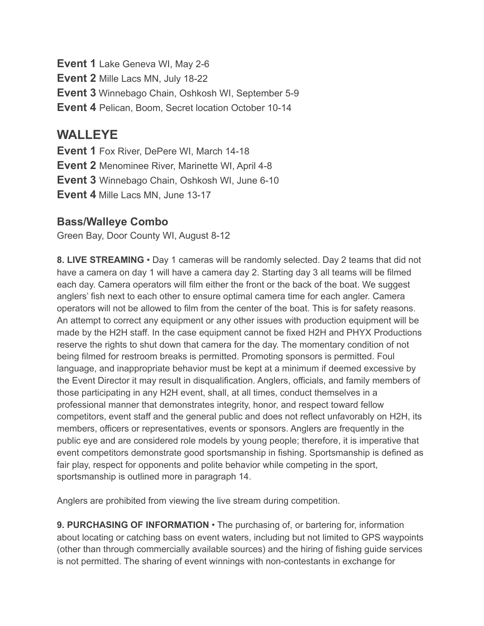**Event 1** Lake Geneva WI, May 2-6 **Event 2** Mille Lacs MN, July 18-22 **Event 3** Winnebago Chain, Oshkosh WI, September 5-9 **Event 4** Pelican, Boom, Secret location October 10-14

## **WALLEYE**

**Event 1** Fox River, DePere WI, March 14-18 **Event 2** Menominee River, Marinette WI, April 4-8 **Event 3** Winnebago Chain, Oshkosh WI, June 6-10 **Event 4** Mille Lacs MN, June 13-17

## **Bass/Walleye Combo**

Green Bay, Door County WI, August 8-12

**8. LIVE STREAMING** • Day 1 cameras will be randomly selected. Day 2 teams that did not have a camera on day 1 will have a camera day 2. Starting day 3 all teams will be filmed each day. Camera operators will film either the front or the back of the boat. We suggest anglers' fish next to each other to ensure optimal camera time for each angler. Camera operators will not be allowed to film from the center of the boat. This is for safety reasons. An attempt to correct any equipment or any other issues with production equipment will be made by the H2H staff. In the case equipment cannot be fixed H2H and PHYX Productions reserve the rights to shut down that camera for the day. The momentary condition of not being filmed for restroom breaks is permitted. Promoting sponsors is permitted. Foul language, and inappropriate behavior must be kept at a minimum if deemed excessive by the Event Director it may result in disqualification. Anglers, officials, and family members of those participating in any H2H event, shall, at all times, conduct themselves in a professional manner that demonstrates integrity, honor, and respect toward fellow competitors, event staff and the general public and does not reflect unfavorably on H2H, its members, officers or representatives, events or sponsors. Anglers are frequently in the public eye and are considered role models by young people; therefore, it is imperative that event competitors demonstrate good sportsmanship in fishing. Sportsmanship is defined as fair play, respect for opponents and polite behavior while competing in the sport, sportsmanship is outlined more in paragraph 14.

Anglers are prohibited from viewing the live stream during competition.

**9. PURCHASING OF INFORMATION** • The purchasing of, or bartering for, information about locating or catching bass on event waters, including but not limited to GPS waypoints (other than through commercially available sources) and the hiring of fishing guide services is not permitted. The sharing of event winnings with non-contestants in exchange for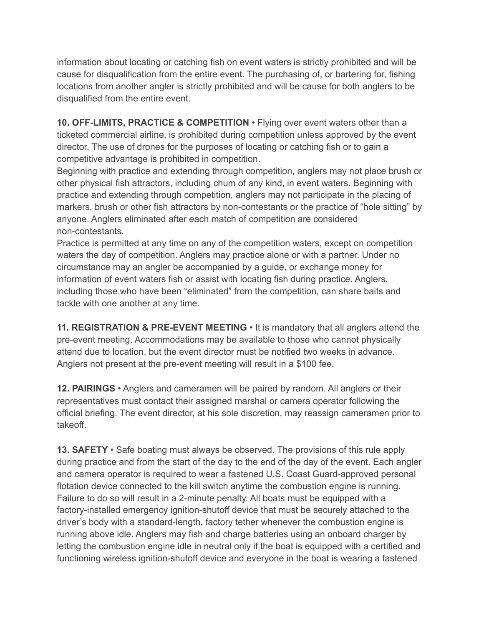information about locating or catching fish on event waters is strictly prohibited and will be cause for disqualification from the entire event. The purchasing of, or bartering for, fishing locations from another angler is strictly prohibited and will be cause for both anglers to be disqualified from the entire event.

**10. OFF-LIMITS, PRACTICE & COMPETITION** • Flying over event waters other than a ticketed commercial airline, is prohibited during competition unless approved by the event director. The use of drones for the purposes of locating or catching fish or to gain a competitive advantage is prohibited in competition.

Beginning with practice and extending through competition, anglers may not place brush or other physical fish attractors, including chum of any kind, in event waters. Beginning with practice and extending through competition, anglers may not participate in the placing of markers, brush or other fish attractors by non-contestants or the practice of "hole sitting" by anyone. Anglers eliminated after each match of competition are considered non-contestants.

Practice is permitted at any time on any of the competition waters, except on competition waters the day of competition. Anglers may practice alone or with a partner. Under no circumstance may an angler be accompanied by a guide, or exchange money for information of event waters fish or assist with locating fish during practice. Anglers, including those who have been "eliminated" from the competition, can share baits and tackle with one another at any time.

**11. REGISTRATION & PRE-EVENT MEETING** • It is mandatory that all anglers attend the pre-event meeting. Accommodations may be available to those who cannot physically attend due to location, but the event director must be notified two weeks in advance. Anglers not present at the pre-event meeting will result in a \$100 fee.

**12. PAIRINGS** • Anglers and cameramen will be paired by random. All anglers or their representatives must contact their assigned marshal or camera operator following the official briefing. The event director, at his sole discretion, may reassign cameramen prior to takeoff.

**13. SAFETY** • Safe boating must always be observed. The provisions of this rule apply during practice and from the start of the day to the end of the day of the event. Each angler and camera operator is required to wear a fastened U.S. Coast Guard-approved personal flotation device connected to the kill switch anytime the combustion engine is running. Failure to do so will result in a 2-minute penalty. All boats must be equipped with a factory-installed emergency ignition-shutoff device that must be securely attached to the driver's body with a standard-length, factory tether whenever the combustion engine is running above idle. Anglers may fish and charge batteries using an onboard charger by letting the combustion engine idle in neutral only if the boat is equipped with a certified and functioning wireless ignition-shutoff device and everyone in the boat is wearing a fastened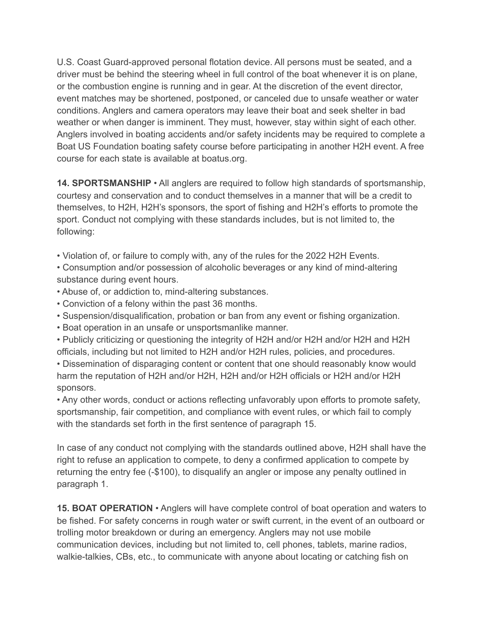U.S. Coast Guard-approved personal flotation device. All persons must be seated, and a driver must be behind the steering wheel in full control of the boat whenever it is on plane, or the combustion engine is running and in gear. At the discretion of the event director, event matches may be shortened, postponed, or canceled due to unsafe weather or water conditions. Anglers and camera operators may leave their boat and seek shelter in bad weather or when danger is imminent. They must, however, stay within sight of each other. Anglers involved in boating accidents and/or safety incidents may be required to complete a Boat US Foundation boating safety course before participating in another H2H event. A free course for each state is available at boatus.org.

**14. SPORTSMANSHIP** • All anglers are required to follow high standards of sportsmanship, courtesy and conservation and to conduct themselves in a manner that will be a credit to themselves, to H2H, H2H's sponsors, the sport of fishing and H2H's efforts to promote the sport. Conduct not complying with these standards includes, but is not limited to, the following:

• Violation of, or failure to comply with, any of the rules for the 2022 H2H Events.

• Consumption and/or possession of alcoholic beverages or any kind of mind-altering substance during event hours.

- Abuse of, or addiction to, mind-altering substances.
- Conviction of a felony within the past 36 months.
- Suspension/disqualification, probation or ban from any event or fishing organization.
- Boat operation in an unsafe or unsportsmanlike manner.

• Publicly criticizing or questioning the integrity of H2H and/or H2H and/or H2H and H2H officials, including but not limited to H2H and/or H2H rules, policies, and procedures.

• Dissemination of disparaging content or content that one should reasonably know would harm the reputation of H2H and/or H2H, H2H and/or H2H officials or H2H and/or H2H sponsors.

• Any other words, conduct or actions reflecting unfavorably upon efforts to promote safety, sportsmanship, fair competition, and compliance with event rules, or which fail to comply with the standards set forth in the first sentence of paragraph 15.

In case of any conduct not complying with the standards outlined above, H2H shall have the right to refuse an application to compete, to deny a confirmed application to compete by returning the entry fee (-\$100), to disqualify an angler or impose any penalty outlined in paragraph 1.

**15. BOAT OPERATION** • Anglers will have complete control of boat operation and waters to be fished. For safety concerns in rough water or swift current, in the event of an outboard or trolling motor breakdown or during an emergency. Anglers may not use mobile communication devices, including but not limited to, cell phones, tablets, marine radios, walkie-talkies, CBs, etc., to communicate with anyone about locating or catching fish on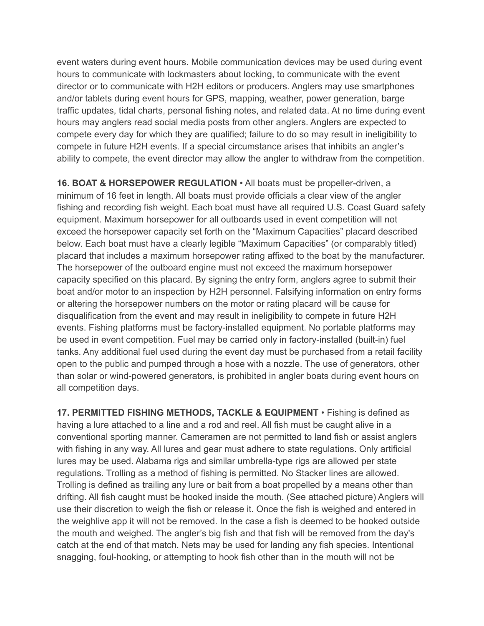event waters during event hours. Mobile communication devices may be used during event hours to communicate with lockmasters about locking, to communicate with the event director or to communicate with H2H editors or producers. Anglers may use smartphones and/or tablets during event hours for GPS, mapping, weather, power generation, barge traffic updates, tidal charts, personal fishing notes, and related data. At no time during event hours may anglers read social media posts from other anglers. Anglers are expected to compete every day for which they are qualified; failure to do so may result in ineligibility to compete in future H2H events. If a special circumstance arises that inhibits an angler's ability to compete, the event director may allow the angler to withdraw from the competition.

**16. BOAT & HORSEPOWER REGULATION** • All boats must be propeller-driven, a minimum of 16 feet in length. All boats must provide officials a clear view of the angler fishing and recording fish weight. Each boat must have all required U.S. Coast Guard safety equipment. Maximum horsepower for all outboards used in event competition will not exceed the horsepower capacity set forth on the "Maximum Capacities" placard described below. Each boat must have a clearly legible "Maximum Capacities" (or comparably titled) placard that includes a maximum horsepower rating affixed to the boat by the manufacturer. The horsepower of the outboard engine must not exceed the maximum horsepower capacity specified on this placard. By signing the entry form, anglers agree to submit their boat and/or motor to an inspection by H2H personnel. Falsifying information on entry forms or altering the horsepower numbers on the motor or rating placard will be cause for disqualification from the event and may result in ineligibility to compete in future H2H events. Fishing platforms must be factory-installed equipment. No portable platforms may be used in event competition. Fuel may be carried only in factory-installed (built-in) fuel tanks. Any additional fuel used during the event day must be purchased from a retail facility open to the public and pumped through a hose with a nozzle. The use of generators, other than solar or wind-powered generators, is prohibited in angler boats during event hours on all competition days.

**17. PERMITTED FISHING METHODS, TACKLE & EQUIPMENT** • Fishing is defined as having a lure attached to a line and a rod and reel. All fish must be caught alive in a conventional sporting manner. Cameramen are not permitted to land fish or assist anglers with fishing in any way. All lures and gear must adhere to state regulations. Only artificial lures may be used. Alabama rigs and similar umbrella-type rigs are allowed per state regulations. Trolling as a method of fishing is permitted. No Stacker lines are allowed. Trolling is defined as trailing any lure or bait from a boat propelled by a means other than drifting. All fish caught must be hooked inside the mouth. (See attached picture) Anglers will use their discretion to weigh the fish or release it. Once the fish is weighed and entered in the weighlive app it will not be removed. In the case a fish is deemed to be hooked outside the mouth and weighed. The angler's big fish and that fish will be removed from the day's catch at the end of that match. Nets may be used for landing any fish species. Intentional snagging, foul-hooking, or attempting to hook fish other than in the mouth will not be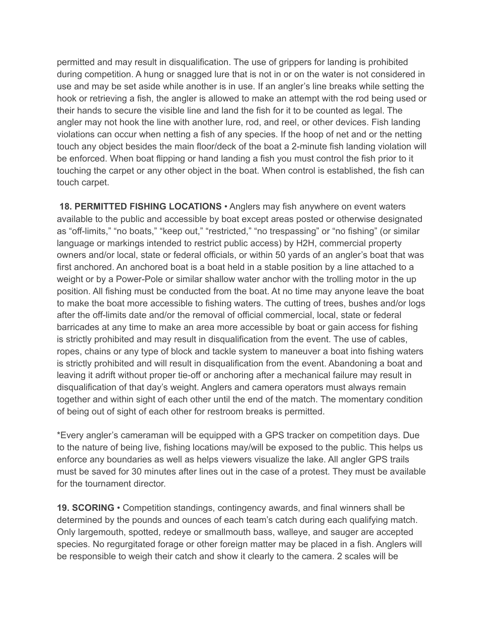permitted and may result in disqualification. The use of grippers for landing is prohibited during competition. A hung or snagged lure that is not in or on the water is not considered in use and may be set aside while another is in use. If an angler's line breaks while setting the hook or retrieving a fish, the angler is allowed to make an attempt with the rod being used or their hands to secure the visible line and land the fish for it to be counted as legal. The angler may not hook the line with another lure, rod, and reel, or other devices. Fish landing violations can occur when netting a fish of any species. If the hoop of net and or the netting touch any object besides the main floor/deck of the boat a 2-minute fish landing violation will be enforced. When boat flipping or hand landing a fish you must control the fish prior to it touching the carpet or any other object in the boat. When control is established, the fish can touch carpet.

**18. PERMITTED FISHING LOCATIONS** • Anglers may fish anywhere on event waters available to the public and accessible by boat except areas posted or otherwise designated as "off-limits," "no boats," "keep out," "restricted," "no trespassing" or "no fishing" (or similar language or markings intended to restrict public access) by H2H, commercial property owners and/or local, state or federal officials, or within 50 yards of an angler's boat that was first anchored. An anchored boat is a boat held in a stable position by a line attached to a weight or by a Power-Pole or similar shallow water anchor with the trolling motor in the up position. All fishing must be conducted from the boat. At no time may anyone leave the boat to make the boat more accessible to fishing waters. The cutting of trees, bushes and/or logs after the off-limits date and/or the removal of official commercial, local, state or federal barricades at any time to make an area more accessible by boat or gain access for fishing is strictly prohibited and may result in disqualification from the event. The use of cables, ropes, chains or any type of block and tackle system to maneuver a boat into fishing waters is strictly prohibited and will result in disqualification from the event. Abandoning a boat and leaving it adrift without proper tie-off or anchoring after a mechanical failure may result in disqualification of that day's weight. Anglers and camera operators must always remain together and within sight of each other until the end of the match. The momentary condition of being out of sight of each other for restroom breaks is permitted.

\*Every angler's cameraman will be equipped with a GPS tracker on competition days. Due to the nature of being live, fishing locations may/will be exposed to the public. This helps us enforce any boundaries as well as helps viewers visualize the lake. All angler GPS trails must be saved for 30 minutes after lines out in the case of a protest. They must be available for the tournament director.

**19. SCORING** • Competition standings, contingency awards, and final winners shall be determined by the pounds and ounces of each team's catch during each qualifying match. Only largemouth, spotted, redeye or smallmouth bass, walleye, and sauger are accepted species. No regurgitated forage or other foreign matter may be placed in a fish. Anglers will be responsible to weigh their catch and show it clearly to the camera. 2 scales will be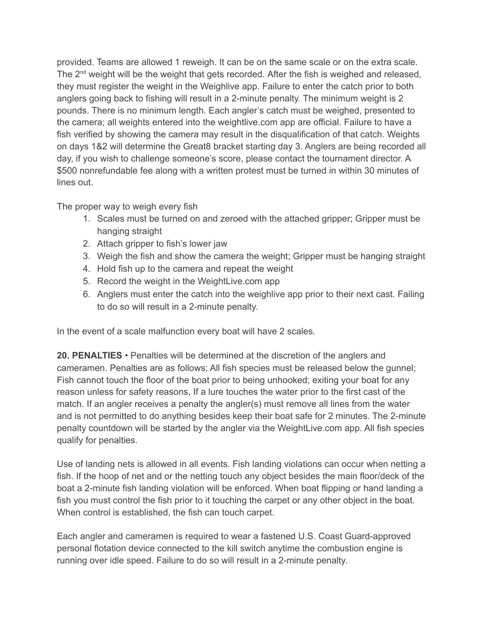provided. Teams are allowed 1 reweigh. It can be on the same scale or on the extra scale. The 2<sup>nd</sup> weight will be the weight that gets recorded. After the fish is weighed and released, they must register the weight in the Weighlive app. Failure to enter the catch prior to both anglers going back to fishing will result in a 2-minute penalty. The minimum weight is 2 pounds. There is no minimum length. Each angler's catch must be weighed, presented to the camera; all weights entered into the weightlive.com app are official. Failure to have a fish verified by showing the camera may result in the disqualification of that catch. Weights on days 1&2 will determine the Great8 bracket starting day 3. Anglers are being recorded all day, if you wish to challenge someone's score, please contact the tournament director. A \$500 nonrefundable fee along with a written protest must be turned in within 30 minutes of lines out.

The proper way to weigh every fish

- 1. Scales must be turned on and zeroed with the attached gripper; Gripper must be hanging straight
- 2. Attach gripper to fish's lower jaw
- 3. Weigh the fish and show the camera the weight; Gripper must be hanging straight
- 4. Hold fish up to the camera and repeat the weight
- 5. Record the weight in the WeightLive.com app
- 6. Anglers must enter the catch into the weighlive app prior to their next cast. Failing to do so will result in a 2-minute penalty.

In the event of a scale malfunction every boat will have 2 scales.

**20. PENALTIES** • Penalties will be determined at the discretion of the anglers and cameramen. Penalties are as follows; All fish species must be released below the gunnel; Fish cannot touch the floor of the boat prior to being unhooked; exiting your boat for any reason unless for safety reasons, If a lure touches the water prior to the first cast of the match. If an angler receives a penalty the angler(s) must remove all lines from the water and is not permitted to do anything besides keep their boat safe for 2 minutes. The 2-minute penalty countdown will be started by the angler via the WeightLive.com app. All fish species qualify for penalties.

Use of landing nets is allowed in all events. Fish landing violations can occur when netting a fish. If the hoop of net and or the netting touch any object besides the main floor/deck of the boat a 2-minute fish landing violation will be enforced. When boat flipping or hand landing a fish you must control the fish prior to it touching the carpet or any other object in the boat. When control is established, the fish can touch carpet.

Each angler and cameramen is required to wear a fastened U.S. Coast Guard-approved personal flotation device connected to the kill switch anytime the combustion engine is running over idle speed. Failure to do so will result in a 2-minute penalty.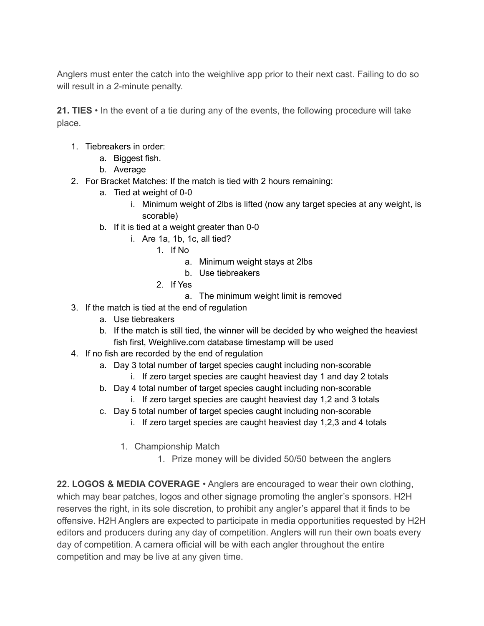Anglers must enter the catch into the weighlive app prior to their next cast. Failing to do so will result in a 2-minute penalty.

**21. TIES** • In the event of a tie during any of the events, the following procedure will take place.

- 1. Tiebreakers in order:
	- a. Biggest fish.
	- b. Average
- 2. For Bracket Matches: If the match is tied with 2 hours remaining:
	- a. Tied at weight of 0-0
		- i. Minimum weight of 2lbs is lifted (now any target species at any weight, is scorable)
	- b. If it is tied at a weight greater than 0-0
		- i. Are 1a, 1b, 1c, all tied?
			- 1. If No
				- a. Minimum weight stays at 2lbs
				- b. Use tiebreakers
			- 2. If Yes
				- a. The minimum weight limit is removed
- 3. If the match is tied at the end of regulation
	- a. Use tiebreakers
	- b. If the match is still tied, the winner will be decided by who weighed the heaviest fish first, Weighlive.com database timestamp will be used
- 4. If no fish are recorded by the end of regulation
	- a. Day 3 total number of target species caught including non-scorable
		- i. If zero target species are caught heaviest day 1 and day 2 totals
	- b. Day 4 total number of target species caught including non-scorable
		- i. If zero target species are caught heaviest day 1,2 and 3 totals
	- c. Day 5 total number of target species caught including non-scorable
		- i. If zero target species are caught heaviest day 1,2,3 and 4 totals
		- 1. Championship Match
			- 1. Prize money will be divided 50/50 between the anglers

**22. LOGOS & MEDIA COVERAGE** • Anglers are encouraged to wear their own clothing, which may bear patches, logos and other signage promoting the angler's sponsors. H2H reserves the right, in its sole discretion, to prohibit any angler's apparel that it finds to be offensive. H2H Anglers are expected to participate in media opportunities requested by H2H editors and producers during any day of competition. Anglers will run their own boats every day of competition. A camera official will be with each angler throughout the entire competition and may be live at any given time.